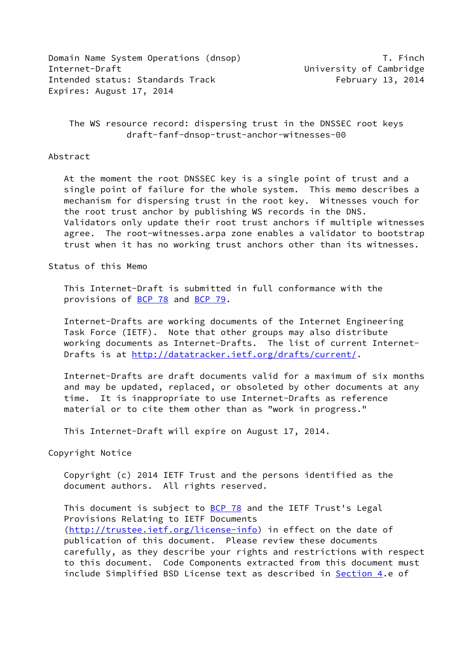Domain Name System Operations (dnsop) T. Finch Internet-Draft **Internet-Draft** and *Internet-Draft* and *University* of Cambridge Intended status: Standards Track February 13, 2014 Expires: August 17, 2014

 The WS resource record: dispersing trust in the DNSSEC root keys draft-fanf-dnsop-trust-anchor-witnesses-00

#### Abstract

 At the moment the root DNSSEC key is a single point of trust and a single point of failure for the whole system. This memo describes a mechanism for dispersing trust in the root key. Witnesses vouch for the root trust anchor by publishing WS records in the DNS. Validators only update their root trust anchors if multiple witnesses agree. The root-witnesses.arpa zone enables a validator to bootstrap trust when it has no working trust anchors other than its witnesses.

### Status of this Memo

 This Internet-Draft is submitted in full conformance with the provisions of [BCP 78](https://datatracker.ietf.org/doc/pdf/bcp78) and [BCP 79](https://datatracker.ietf.org/doc/pdf/bcp79).

 Internet-Drafts are working documents of the Internet Engineering Task Force (IETF). Note that other groups may also distribute working documents as Internet-Drafts. The list of current Internet Drafts is at<http://datatracker.ietf.org/drafts/current/>.

 Internet-Drafts are draft documents valid for a maximum of six months and may be updated, replaced, or obsoleted by other documents at any time. It is inappropriate to use Internet-Drafts as reference material or to cite them other than as "work in progress."

This Internet-Draft will expire on August 17, 2014.

Copyright Notice

 Copyright (c) 2014 IETF Trust and the persons identified as the document authors. All rights reserved.

This document is subject to **[BCP 78](https://datatracker.ietf.org/doc/pdf/bcp78)** and the IETF Trust's Legal Provisions Relating to IETF Documents [\(http://trustee.ietf.org/license-info](http://trustee.ietf.org/license-info)) in effect on the date of publication of this document. Please review these documents carefully, as they describe your rights and restrictions with respect to this document. Code Components extracted from this document must include Simplified BSD License text as described in [Section 4.](#page-7-0)e of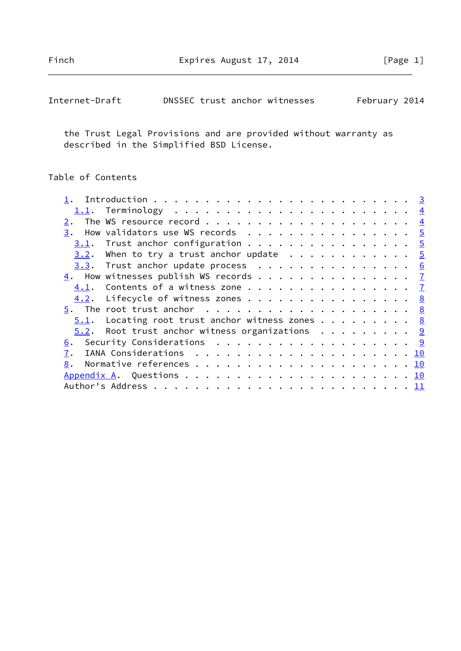Finch Expires August 17, 2014 [Page 1]

| Internet-Draft |  | DNSSEC trust anchor witnesses |  | February 2014 |  |
|----------------|--|-------------------------------|--|---------------|--|
|----------------|--|-------------------------------|--|---------------|--|

 the Trust Legal Provisions and are provided without warranty as described in the Simplified BSD License.

# Table of Contents

|                                                                    | The WS resource record $\,\ldots\,$ 4              |  |  |  |  |  |  |  |  |  |  |  |
|--------------------------------------------------------------------|----------------------------------------------------|--|--|--|--|--|--|--|--|--|--|--|
| $\frac{3}{2}$ . How validators use WS records 5                    |                                                    |  |  |  |  |  |  |  |  |  |  |  |
|                                                                    | $3.1$ . Trust anchor configuration 5               |  |  |  |  |  |  |  |  |  |  |  |
|                                                                    | $3.2$ . When to try a trust anchor update 5        |  |  |  |  |  |  |  |  |  |  |  |
|                                                                    | $3.3$ . Trust anchor update process 6              |  |  |  |  |  |  |  |  |  |  |  |
| $\underline{4}$ . How witnesses publish WS records $\underline{7}$ |                                                    |  |  |  |  |  |  |  |  |  |  |  |
|                                                                    | 4.1. Contents of a witness zone $\frac{7}{2}$      |  |  |  |  |  |  |  |  |  |  |  |
| $\underline{4.2}$ . Lifecycle of witness zones 8                   |                                                    |  |  |  |  |  |  |  |  |  |  |  |
|                                                                    |                                                    |  |  |  |  |  |  |  |  |  |  |  |
|                                                                    | $5.1$ . Locating root trust anchor witness zones 8 |  |  |  |  |  |  |  |  |  |  |  |
|                                                                    | $5.2$ . Root trust anchor witness organizations 9  |  |  |  |  |  |  |  |  |  |  |  |
| 6. Security Considerations 9                                       |                                                    |  |  |  |  |  |  |  |  |  |  |  |
|                                                                    |                                                    |  |  |  |  |  |  |  |  |  |  |  |
| 8.                                                                 |                                                    |  |  |  |  |  |  |  |  |  |  |  |
|                                                                    |                                                    |  |  |  |  |  |  |  |  |  |  |  |
|                                                                    |                                                    |  |  |  |  |  |  |  |  |  |  |  |
|                                                                    |                                                    |  |  |  |  |  |  |  |  |  |  |  |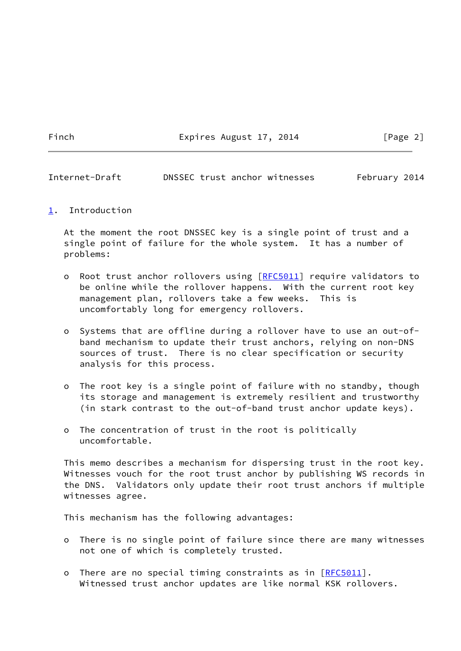Finch Expires August 17, 2014 [Page 2]

<span id="page-2-1"></span>Internet-Draft DNSSEC trust anchor witnesses February 2014

## <span id="page-2-0"></span>[1](#page-2-0). Introduction

 At the moment the root DNSSEC key is a single point of trust and a single point of failure for the whole system. It has a number of problems:

- o Root trust anchor rollovers using [\[RFC5011](https://datatracker.ietf.org/doc/pdf/rfc5011)] require validators to be online while the rollover happens. With the current root key management plan, rollovers take a few weeks. This is uncomfortably long for emergency rollovers.
- o Systems that are offline during a rollover have to use an out-of band mechanism to update their trust anchors, relying on non-DNS sources of trust. There is no clear specification or security analysis for this process.
- o The root key is a single point of failure with no standby, though its storage and management is extremely resilient and trustworthy (in stark contrast to the out-of-band trust anchor update keys).
- o The concentration of trust in the root is politically uncomfortable.

 This memo describes a mechanism for dispersing trust in the root key. Witnesses vouch for the root trust anchor by publishing WS records in the DNS. Validators only update their root trust anchors if multiple witnesses agree.

This mechanism has the following advantages:

- o There is no single point of failure since there are many witnesses not one of which is completely trusted.
- o There are no special timing constraints as in [\[RFC5011](https://datatracker.ietf.org/doc/pdf/rfc5011)]. Witnessed trust anchor updates are like normal KSK rollovers.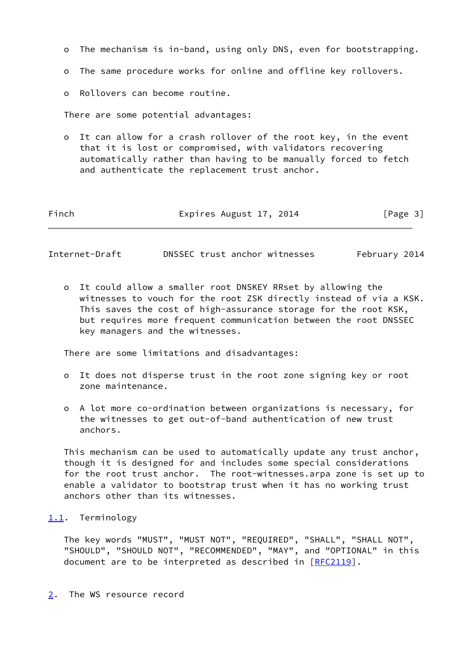- o The mechanism is in-band, using only DNS, even for bootstrapping.
- o The same procedure works for online and offline key rollovers.
- o Rollovers can become routine.

There are some potential advantages:

 o It can allow for a crash rollover of the root key, in the event that it is lost or compromised, with validators recovering automatically rather than having to be manually forced to fetch and authenticate the replacement trust anchor.

| Finch | Expires August 17, 2014 | [Page 3] |
|-------|-------------------------|----------|
|       |                         |          |

<span id="page-3-1"></span>Internet-Draft DNSSEC trust anchor witnesses February 2014

 o It could allow a smaller root DNSKEY RRset by allowing the witnesses to vouch for the root ZSK directly instead of via a KSK. This saves the cost of high-assurance storage for the root KSK, but requires more frequent communication between the root DNSSEC key managers and the witnesses.

There are some limitations and disadvantages:

- o It does not disperse trust in the root zone signing key or root zone maintenance.
- o A lot more co-ordination between organizations is necessary, for the witnesses to get out-of-band authentication of new trust anchors.

 This mechanism can be used to automatically update any trust anchor, though it is designed for and includes some special considerations for the root trust anchor. The root-witnesses.arpa zone is set up to enable a validator to bootstrap trust when it has no working trust anchors other than its witnesses.

## <span id="page-3-0"></span>[1.1](#page-3-0). Terminology

 The key words "MUST", "MUST NOT", "REQUIRED", "SHALL", "SHALL NOT", "SHOULD", "SHOULD NOT", "RECOMMENDED", "MAY", and "OPTIONAL" in this document are to be interpreted as described in [\[RFC2119](https://datatracker.ietf.org/doc/pdf/rfc2119)].

<span id="page-3-2"></span>[2](#page-3-2). The WS resource record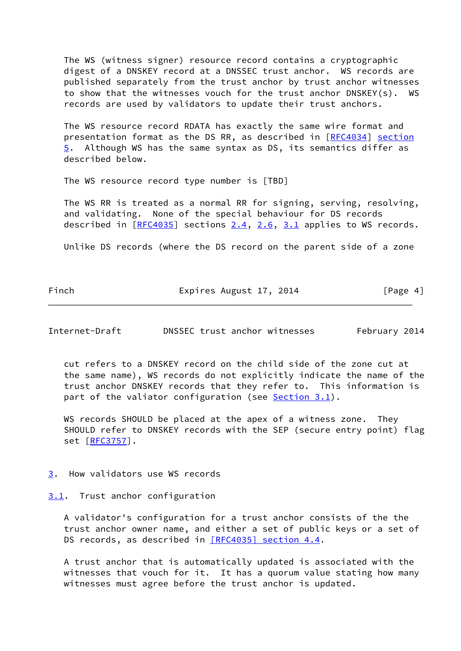The WS (witness signer) resource record contains a cryptographic digest of a DNSKEY record at a DNSSEC trust anchor. WS records are published separately from the trust anchor by trust anchor witnesses to show that the witnesses vouch for the trust anchor DNSKEY(s). WS records are used by validators to update their trust anchors.

 The WS resource record RDATA has exactly the same wire format and presentation format as the DS RR, as described in [[RFC4034](https://datatracker.ietf.org/doc/pdf/rfc4034)] [section](#page-8-0) [5](#page-8-0). Although WS has the same syntax as DS, its semantics differ as described below.

The WS resource record type number is [TBD]

 The WS RR is treated as a normal RR for signing, serving, resolving, and validating. None of the special behaviour for DS records described in  $[REC4035]$  sections  $2.4$ ,  $2.6$ ,  $3.1$  applies to WS records.

Unlike DS records (where the DS record on the parent side of a zone

Finch Expires August 17, 2014 [Page 4]

<span id="page-4-1"></span>Internet-Draft DNSSEC trust anchor witnesses February 2014

 cut refers to a DNSKEY record on the child side of the zone cut at the same name), WS records do not explicitly indicate the name of the trust anchor DNSKEY records that they refer to. This information is part of the valiator configuration (see [Section 3.1](#page-4-2)).

WS records SHOULD be placed at the apex of a witness zone. They SHOULD refer to DNSKEY records with the SEP (secure entry point) flag set [\[RFC3757](https://datatracker.ietf.org/doc/pdf/rfc3757)].

- <span id="page-4-0"></span>[3](#page-4-0). How validators use WS records
- <span id="page-4-2"></span>[3.1](#page-4-2). Trust anchor configuration

 A validator's configuration for a trust anchor consists of the the trust anchor owner name, and either a set of public keys or a set of DS records, as described in [\[RFC4035\] section](https://datatracker.ietf.org/doc/pdf/rfc4035#section-4.4) 4.4.

 A trust anchor that is automatically updated is associated with the witnesses that vouch for it. It has a quorum value stating how many witnesses must agree before the trust anchor is updated.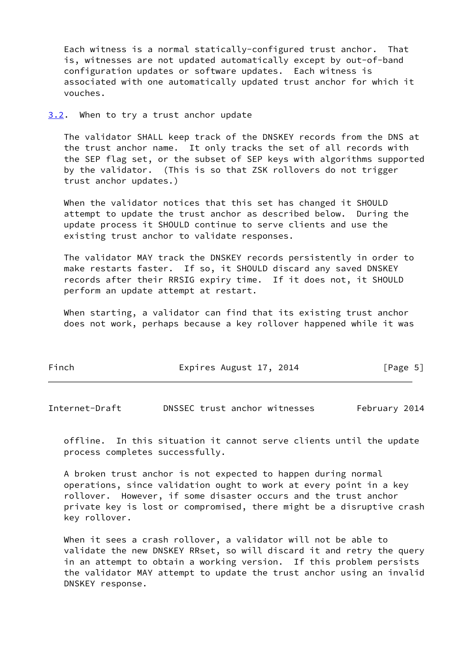Each witness is a normal statically-configured trust anchor. That is, witnesses are not updated automatically except by out-of-band configuration updates or software updates. Each witness is associated with one automatically updated trust anchor for which it vouches.

<span id="page-5-0"></span>[3.2](#page-5-0). When to try a trust anchor update

 The validator SHALL keep track of the DNSKEY records from the DNS at the trust anchor name. It only tracks the set of all records with the SEP flag set, or the subset of SEP keys with algorithms supported by the validator. (This is so that ZSK rollovers do not trigger trust anchor updates.)

When the validator notices that this set has changed it SHOULD attempt to update the trust anchor as described below. During the update process it SHOULD continue to serve clients and use the existing trust anchor to validate responses.

 The validator MAY track the DNSKEY records persistently in order to make restarts faster. If so, it SHOULD discard any saved DNSKEY records after their RRSIG expiry time. If it does not, it SHOULD perform an update attempt at restart.

When starting, a validator can find that its existing trust anchor does not work, perhaps because a key rollover happened while it was

| Finch<br>Expires August 17, 2014 | [Page 5] |
|----------------------------------|----------|
|----------------------------------|----------|

<span id="page-5-1"></span>Internet-Draft DNSSEC trust anchor witnesses February 2014

 offline. In this situation it cannot serve clients until the update process completes successfully.

 A broken trust anchor is not expected to happen during normal operations, since validation ought to work at every point in a key rollover. However, if some disaster occurs and the trust anchor private key is lost or compromised, there might be a disruptive crash key rollover.

 When it sees a crash rollover, a validator will not be able to validate the new DNSKEY RRset, so will discard it and retry the query in an attempt to obtain a working version. If this problem persists the validator MAY attempt to update the trust anchor using an invalid DNSKEY response.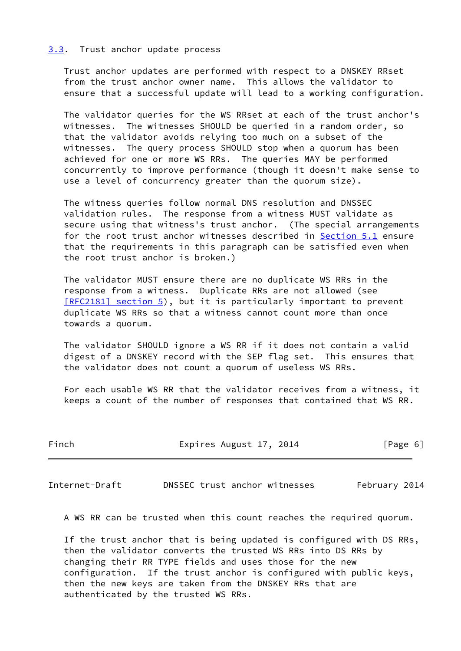#### <span id="page-6-0"></span>[3.3](#page-6-0). Trust anchor update process

 Trust anchor updates are performed with respect to a DNSKEY RRset from the trust anchor owner name. This allows the validator to ensure that a successful update will lead to a working configuration.

 The validator queries for the WS RRset at each of the trust anchor's witnesses. The witnesses SHOULD be queried in a random order, so that the validator avoids relying too much on a subset of the witnesses. The query process SHOULD stop when a quorum has been achieved for one or more WS RRs. The queries MAY be performed concurrently to improve performance (though it doesn't make sense to use a level of concurrency greater than the quorum size).

 The witness queries follow normal DNS resolution and DNSSEC validation rules. The response from a witness MUST validate as secure using that witness's trust anchor. (The special arrangements for the root trust anchor witnesses described in [Section 5.1](#page-8-1) ensure that the requirements in this paragraph can be satisfied even when the root trust anchor is broken.)

 The validator MUST ensure there are no duplicate WS RRs in the response from a witness. Duplicate RRs are not allowed (see  $[REC2181]$  section 5), but it is particularly important to prevent duplicate WS RRs so that a witness cannot count more than once towards a quorum.

 The validator SHOULD ignore a WS RR if it does not contain a valid digest of a DNSKEY record with the SEP flag set. This ensures that the validator does not count a quorum of useless WS RRs.

 For each usable WS RR that the validator receives from a witness, it keeps a count of the number of responses that contained that WS RR.

| Finch | Expires August 17, 2014 | [Page 6] |  |
|-------|-------------------------|----------|--|
|       |                         |          |  |

<span id="page-6-1"></span>Internet-Draft DNSSEC trust anchor witnesses February 2014

A WS RR can be trusted when this count reaches the required quorum.

 If the trust anchor that is being updated is configured with DS RRs, then the validator converts the trusted WS RRs into DS RRs by changing their RR TYPE fields and uses those for the new configuration. If the trust anchor is configured with public keys, then the new keys are taken from the DNSKEY RRs that are authenticated by the trusted WS RRs.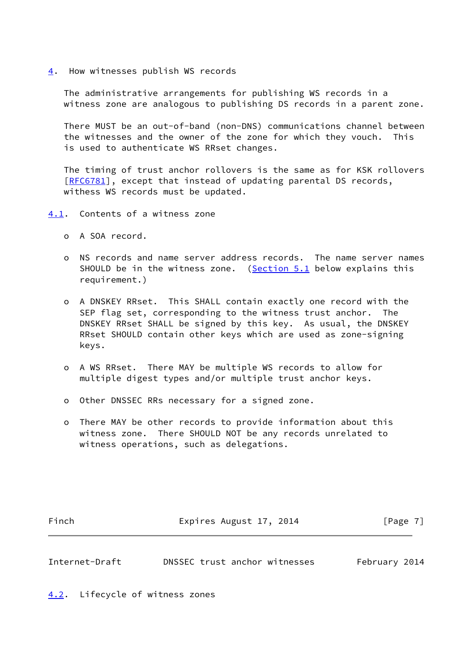<span id="page-7-0"></span>[4](#page-7-0). How witnesses publish WS records

 The administrative arrangements for publishing WS records in a witness zone are analogous to publishing DS records in a parent zone.

 There MUST be an out-of-band (non-DNS) communications channel between the witnesses and the owner of the zone for which they vouch. This is used to authenticate WS RRset changes.

 The timing of trust anchor rollovers is the same as for KSK rollovers [\[RFC6781](https://datatracker.ietf.org/doc/pdf/rfc6781)], except that instead of updating parental DS records, withess WS records must be updated.

- <span id="page-7-1"></span>[4.1](#page-7-1). Contents of a witness zone
	- o A SOA record.
	- o NS records and name server address records. The name server names SHOULD be in the witness zone. ([Section 5.1](#page-8-1) below explains this requirement.)
	- o A DNSKEY RRset. This SHALL contain exactly one record with the SEP flag set, corresponding to the witness trust anchor. The DNSKEY RRset SHALL be signed by this key. As usual, the DNSKEY RRset SHOULD contain other keys which are used as zone-signing keys.
	- o A WS RRset. There MAY be multiple WS records to allow for multiple digest types and/or multiple trust anchor keys.
	- o Other DNSSEC RRs necessary for a signed zone.
	- o There MAY be other records to provide information about this witness zone. There SHOULD NOT be any records unrelated to witness operations, such as delegations.

Finch Expires August 17, 2014 [Page 7]

<span id="page-7-3"></span>Internet-Draft DNSSEC trust anchor witnesses February 2014

<span id="page-7-2"></span>[4.2](#page-7-2). Lifecycle of witness zones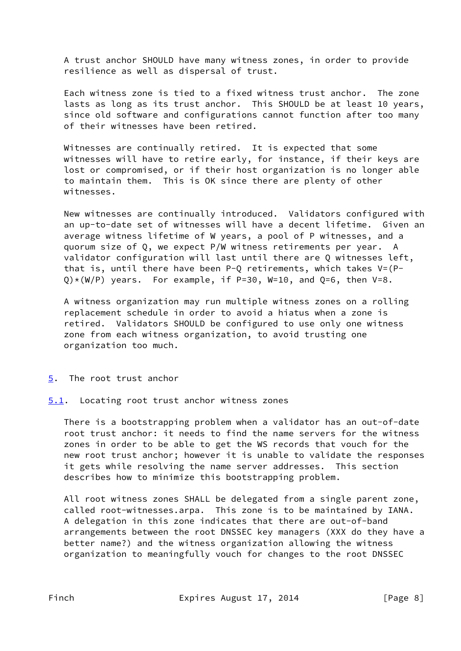A trust anchor SHOULD have many witness zones, in order to provide resilience as well as dispersal of trust.

 Each witness zone is tied to a fixed witness trust anchor. The zone lasts as long as its trust anchor. This SHOULD be at least 10 years, since old software and configurations cannot function after too many of their witnesses have been retired.

 Witnesses are continually retired. It is expected that some witnesses will have to retire early, for instance, if their keys are lost or compromised, or if their host organization is no longer able to maintain them. This is OK since there are plenty of other witnesses.

 New witnesses are continually introduced. Validators configured with an up-to-date set of witnesses will have a decent lifetime. Given an average witness lifetime of W years, a pool of P witnesses, and a quorum size of Q, we expect P/W witness retirements per year. A validator configuration will last until there are Q witnesses left, that is, until there have been P-Q retirements, which takes V=(P-  $Q$ )\*(W/P) years. For example, if P=30, W=10, and Q=6, then V=8.

 A witness organization may run multiple witness zones on a rolling replacement schedule in order to avoid a hiatus when a zone is retired. Validators SHOULD be configured to use only one witness zone from each witness organization, to avoid trusting one organization too much.

<span id="page-8-0"></span>[5](#page-8-0). The root trust anchor

<span id="page-8-1"></span>[5.1](#page-8-1). Locating root trust anchor witness zones

 There is a bootstrapping problem when a validator has an out-of-date root trust anchor: it needs to find the name servers for the witness zones in order to be able to get the WS records that vouch for the new root trust anchor; however it is unable to validate the responses it gets while resolving the name server addresses. This section describes how to minimize this bootstrapping problem.

 All root witness zones SHALL be delegated from a single parent zone, called root-witnesses.arpa. This zone is to be maintained by IANA. A delegation in this zone indicates that there are out-of-band arrangements between the root DNSSEC key managers (XXX do they have a better name?) and the witness organization allowing the witness organization to meaningfully vouch for changes to the root DNSSEC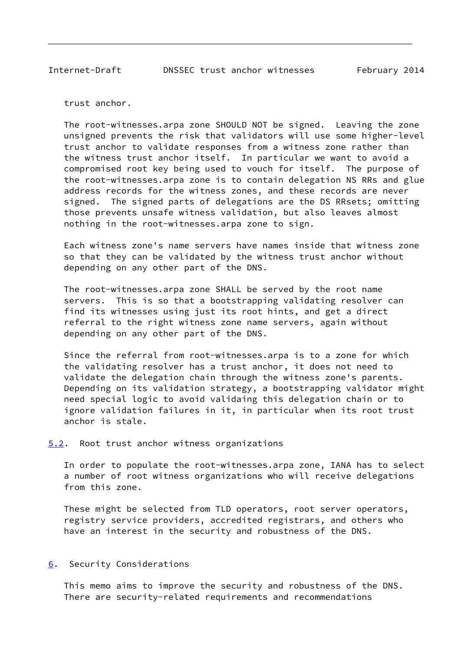<span id="page-9-1"></span>Internet-Draft DNSSEC trust anchor witnesses February 2014

trust anchor.

 The root-witnesses.arpa zone SHOULD NOT be signed. Leaving the zone unsigned prevents the risk that validators will use some higher-level trust anchor to validate responses from a witness zone rather than the witness trust anchor itself. In particular we want to avoid a compromised root key being used to vouch for itself. The purpose of the root-witnesses.arpa zone is to contain delegation NS RRs and glue address records for the witness zones, and these records are never signed. The signed parts of delegations are the DS RRsets; omitting those prevents unsafe witness validation, but also leaves almost nothing in the root-witnesses.arpa zone to sign.

 Each witness zone's name servers have names inside that witness zone so that they can be validated by the witness trust anchor without depending on any other part of the DNS.

 The root-witnesses.arpa zone SHALL be served by the root name servers. This is so that a bootstrapping validating resolver can find its witnesses using just its root hints, and get a direct referral to the right witness zone name servers, again without depending on any other part of the DNS.

 Since the referral from root-witnesses.arpa is to a zone for which the validating resolver has a trust anchor, it does not need to validate the delegation chain through the witness zone's parents. Depending on its validation strategy, a bootstrapping validator might need special logic to avoid validaing this delegation chain or to ignore validation failures in it, in particular when its root trust anchor is stale.

<span id="page-9-0"></span>[5.2](#page-9-0). Root trust anchor witness organizations

 In order to populate the root-witnesses.arpa zone, IANA has to select a number of root witness organizations who will receive delegations from this zone.

 These might be selected from TLD operators, root server operators, registry service providers, accredited registrars, and others who have an interest in the security and robustness of the DNS.

#### <span id="page-9-2"></span>[6](#page-9-2). Security Considerations

 This memo aims to improve the security and robustness of the DNS. There are security-related requirements and recommendations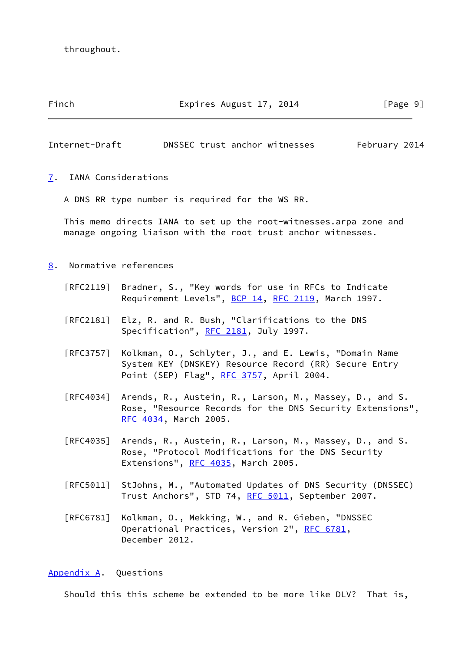throughout.

Finch Expires August 17, 2014 [Page 9]

<span id="page-10-1"></span>Internet-Draft DNSSEC trust anchor witnesses February 2014

<span id="page-10-0"></span>[7](#page-10-0). IANA Considerations

A DNS RR type number is required for the WS RR.

 This memo directs IANA to set up the root-witnesses.arpa zone and manage ongoing liaison with the root trust anchor witnesses.

- <span id="page-10-2"></span>[8](#page-10-2). Normative references
	- [RFC2119] Bradner, S., "Key words for use in RFCs to Indicate Requirement Levels", [BCP 14](https://datatracker.ietf.org/doc/pdf/bcp14), [RFC 2119](https://datatracker.ietf.org/doc/pdf/rfc2119), March 1997.
	- [RFC2181] Elz, R. and R. Bush, "Clarifications to the DNS Specification", [RFC 2181,](https://datatracker.ietf.org/doc/pdf/rfc2181) July 1997.
	- [RFC3757] Kolkman, O., Schlyter, J., and E. Lewis, "Domain Name System KEY (DNSKEY) Resource Record (RR) Secure Entry Point (SEP) Flag", [RFC 3757](https://datatracker.ietf.org/doc/pdf/rfc3757), April 2004.
	- [RFC4034] Arends, R., Austein, R., Larson, M., Massey, D., and S. Rose, "Resource Records for the DNS Security Extensions", [RFC 4034,](https://datatracker.ietf.org/doc/pdf/rfc4034) March 2005.
	- [RFC4035] Arends, R., Austein, R., Larson, M., Massey, D., and S. Rose, "Protocol Modifications for the DNS Security Extensions", [RFC 4035](https://datatracker.ietf.org/doc/pdf/rfc4035), March 2005.
	- [RFC5011] StJohns, M., "Automated Updates of DNS Security (DNSSEC) Trust Anchors", STD 74, [RFC 5011,](https://datatracker.ietf.org/doc/pdf/rfc5011) September 2007.
	- [RFC6781] Kolkman, O., Mekking, W., and R. Gieben, "DNSSEC Operational Practices, Version 2", [RFC 6781](https://datatracker.ietf.org/doc/pdf/rfc6781), December 2012.

#### <span id="page-10-3"></span>[Appendix A.](#page-10-3) Questions

Should this this scheme be extended to be more like DLV? That is,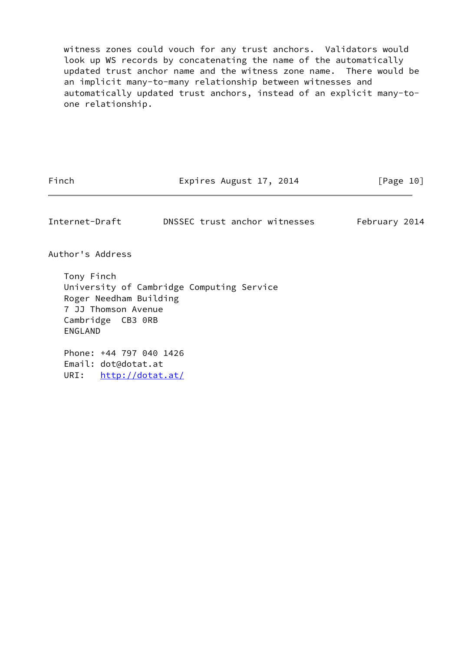witness zones could vouch for any trust anchors. Validators would look up WS records by concatenating the name of the automatically updated trust anchor name and the witness zone name. There would be an implicit many-to-many relationship between witnesses and automatically updated trust anchors, instead of an explicit many-to one relationship.

Finch Expires August 17, 2014 [Page 10]

<span id="page-11-0"></span>Internet-Draft DNSSEC trust anchor witnesses February 2014

Author's Address

 Tony Finch University of Cambridge Computing Service Roger Needham Building 7 JJ Thomson Avenue Cambridge CB3 0RB ENGLAND

 Phone: +44 797 040 1426 Email: dot@dotat.at URI: <http://dotat.at/>